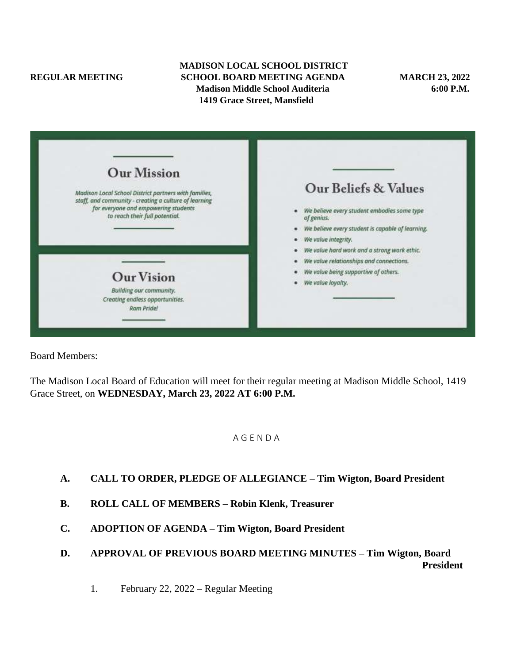#### **MADISON LOCAL SCHOOL DISTRICT REGULAR MEETING SCHOOL BOARD MEETING AGENDA MARCH 23, 2022**<br>Madison Middle School Auditeria **6:00 P.M. Madison Middle School Auditeria 1419 Grace Street, Mansfield**

| <b>Our Mission</b>                                                                                             |                                                           |
|----------------------------------------------------------------------------------------------------------------|-----------------------------------------------------------|
| Madison Local School District partners with families,<br>staff, and community - creating a culture of learning | Our Beliefs & Values                                      |
| for everyone and empowering students<br>to reach their full potential.                                         | We believe every student embodies some type<br>of genius. |
|                                                                                                                | We believe every student is capable of learning.          |
|                                                                                                                | We value integrity.                                       |
|                                                                                                                | We value hard work and a strong work ethic.               |
|                                                                                                                | We value relationships and connections.                   |
| <b>Our Vision</b>                                                                                              | We value being supportive of others.                      |
|                                                                                                                | We value loyalty.                                         |
| Building our community.<br>Creating endless opportunities.<br>Ram Pride!                                       |                                                           |
|                                                                                                                |                                                           |

Board Members:

The Madison Local Board of Education will meet for their regular meeting at Madison Middle School, 1419 Grace Street, on **WEDNESDAY, March 23, 2022 AT 6:00 P.M.**

#### A G E N D A

## **A. CALL TO ORDER, PLEDGE OF ALLEGIANCE – Tim Wigton, Board President**

- **B. ROLL CALL OF MEMBERS – Robin Klenk, Treasurer**
- **C. ADOPTION OF AGENDA – Tim Wigton, Board President**
- **D. APPROVAL OF PREVIOUS BOARD MEETING MINUTES – Tim Wigton, Board President**
	- 1. February 22, 2022 Regular Meeting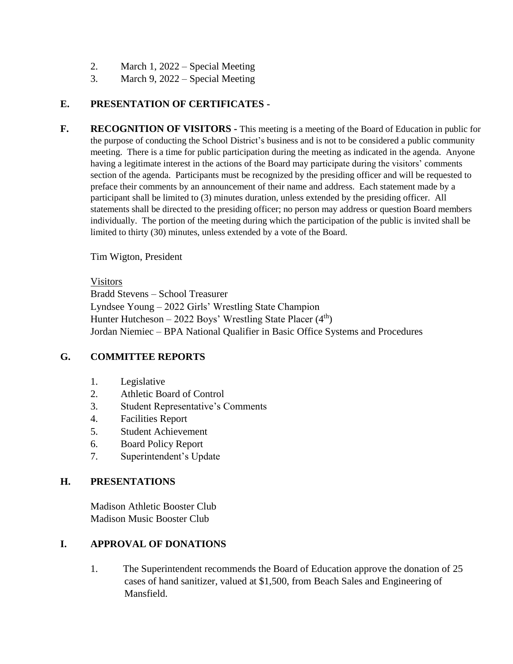- 2. March 1, 2022 Special Meeting
- 3. March 9, 2022 Special Meeting

# **E. PRESENTATION OF CERTIFICATES -**

**F. RECOGNITION OF VISITORS -** This meeting is a meeting of the Board of Education in public for the purpose of conducting the School District's business and is not to be considered a public community meeting. There is a time for public participation during the meeting as indicated in the agenda. Anyone having a legitimate interest in the actions of the Board may participate during the visitors' comments section of the agenda. Participants must be recognized by the presiding officer and will be requested to preface their comments by an announcement of their name and address. Each statement made by a participant shall be limited to (3) minutes duration, unless extended by the presiding officer. All statements shall be directed to the presiding officer; no person may address or question Board members individually. The portion of the meeting during which the participation of the public is invited shall be limited to thirty (30) minutes, unless extended by a vote of the Board.

Tim Wigton, President

#### Visitors

Bradd Stevens – School Treasurer Lyndsee Young – 2022 Girls' Wrestling State Champion Hunter Hutcheson  $-2022$  Boys' Wrestling State Placer (4<sup>th</sup>) Jordan Niemiec – BPA National Qualifier in Basic Office Systems and Procedures

## **G. COMMITTEE REPORTS**

- 1. Legislative
- 2. Athletic Board of Control
- 3. Student Representative's Comments
- 4. Facilities Report
- 5. Student Achievement
- 6. Board Policy Report
- 7. Superintendent's Update

## **H. PRESENTATIONS**

Madison Athletic Booster Club Madison Music Booster Club

## **I. APPROVAL OF DONATIONS**

1. The Superintendent recommends the Board of Education approve the donation of 25 cases of hand sanitizer, valued at \$1,500, from Beach Sales and Engineering of Mansfield.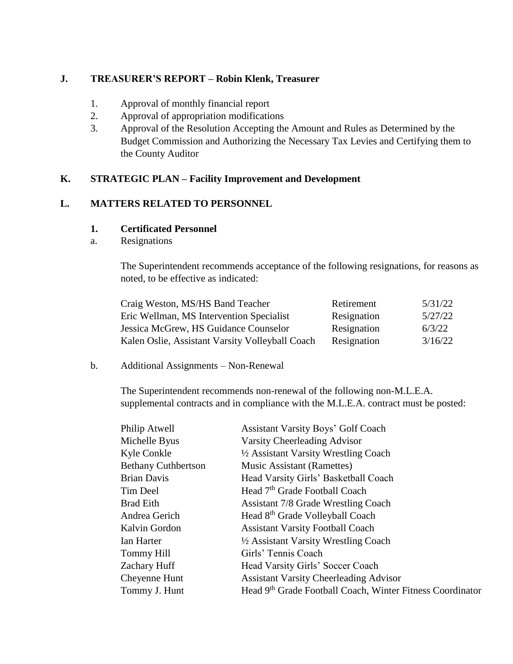## **J. TREASURER'S REPORT – Robin Klenk, Treasurer**

- 1. Approval of monthly financial report
- 2. Approval of appropriation modifications
- 3. Approval of the Resolution Accepting the Amount and Rules as Determined by the Budget Commission and Authorizing the Necessary Tax Levies and Certifying them to the County Auditor

# **K. STRATEGIC PLAN – Facility Improvement and Development**

## **L. MATTERS RELATED TO PERSONNEL**

## **1. Certificated Personnel**

a. Resignations

The Superintendent recommends acceptance of the following resignations, for reasons as noted, to be effective as indicated:

| Craig Weston, MS/HS Band Teacher                | Retirement  | 5/31/22 |
|-------------------------------------------------|-------------|---------|
| Eric Wellman, MS Intervention Specialist        | Resignation | 5/27/22 |
| Jessica McGrew, HS Guidance Counselor           | Resignation | 6/3/22  |
| Kalen Oslie, Assistant Varsity Volleyball Coach | Resignation | 3/16/22 |

## b. Additional Assignments – Non-Renewal

The Superintendent recommends non-renewal of the following non-M.L.E.A. supplemental contracts and in compliance with the M.L.E.A. contract must be posted:

| <b>Assistant Varsity Boys' Golf Coach</b>                 |
|-----------------------------------------------------------|
| Varsity Cheerleading Advisor                              |
| 1/2 Assistant Varsity Wrestling Coach                     |
| <b>Music Assistant (Ramettes)</b>                         |
| Head Varsity Girls' Basketball Coach                      |
| Head 7 <sup>th</sup> Grade Football Coach                 |
| <b>Assistant 7/8 Grade Wrestling Coach</b>                |
| Head 8 <sup>th</sup> Grade Volleyball Coach               |
| <b>Assistant Varsity Football Coach</b>                   |
| 1/2 Assistant Varsity Wrestling Coach                     |
| Girls' Tennis Coach                                       |
| Head Varsity Girls' Soccer Coach                          |
| <b>Assistant Varsity Cheerleading Advisor</b>             |
| Head 9th Grade Football Coach, Winter Fitness Coordinator |
|                                                           |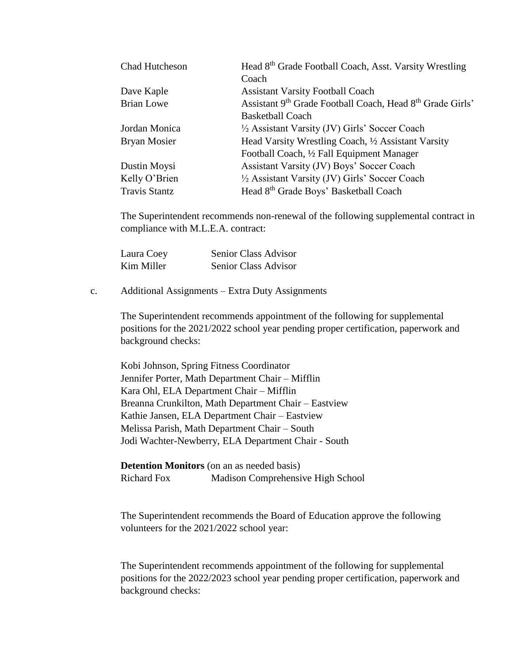| Chad Hutcheson       | Head 8 <sup>th</sup> Grade Football Coach, Asst. Varsity Wrestling |
|----------------------|--------------------------------------------------------------------|
|                      | Coach                                                              |
| Dave Kaple           | <b>Assistant Varsity Football Coach</b>                            |
| <b>Brian Lowe</b>    | Assistant 9th Grade Football Coach, Head 8th Grade Girls'          |
|                      | <b>Basketball Coach</b>                                            |
| Jordan Monica        | 1/2 Assistant Varsity (JV) Girls' Soccer Coach                     |
| <b>Bryan Mosier</b>  | Head Varsity Wrestling Coach, 1/2 Assistant Varsity                |
|                      | Football Coach, 1/2 Fall Equipment Manager                         |
| Dustin Moysi         | Assistant Varsity (JV) Boys' Soccer Coach                          |
| Kelly O'Brien        | 1/2 Assistant Varsity (JV) Girls' Soccer Coach                     |
| <b>Travis Stantz</b> | Head 8 <sup>th</sup> Grade Boys' Basketball Coach                  |

The Superintendent recommends non-renewal of the following supplemental contract in compliance with M.L.E.A. contract:

| Laura Coey | Senior Class Advisor |
|------------|----------------------|
| Kim Miller | Senior Class Advisor |

c. Additional Assignments – Extra Duty Assignments

The Superintendent recommends appointment of the following for supplemental positions for the 2021/2022 school year pending proper certification, paperwork and background checks:

Kobi Johnson, Spring Fitness Coordinator Jennifer Porter, Math Department Chair – Mifflin Kara Ohl, ELA Department Chair – Mifflin Breanna Crunkilton, Math Department Chair – Eastview Kathie Jansen, ELA Department Chair – Eastview Melissa Parish, Math Department Chair – South Jodi Wachter-Newberry, ELA Department Chair - South

**Detention Monitors** (on an as needed basis) Richard Fox Madison Comprehensive High School

The Superintendent recommends the Board of Education approve the following volunteers for the 2021/2022 school year:

The Superintendent recommends appointment of the following for supplemental positions for the 2022/2023 school year pending proper certification, paperwork and background checks: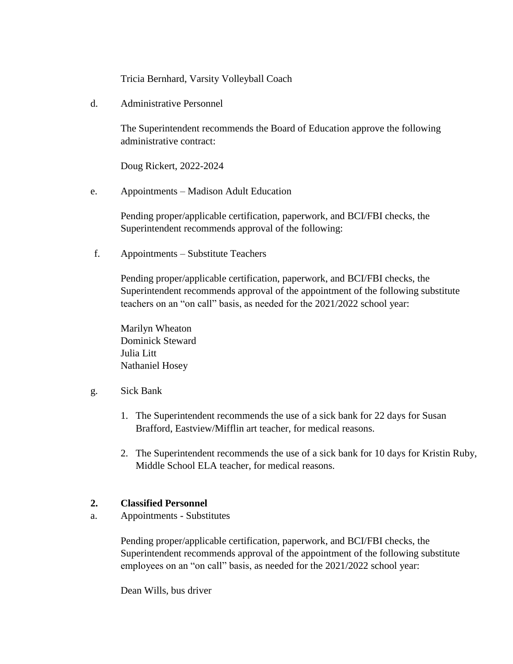Tricia Bernhard, Varsity Volleyball Coach

d. Administrative Personnel

The Superintendent recommends the Board of Education approve the following administrative contract:

Doug Rickert, 2022-2024

e. Appointments – Madison Adult Education

Pending proper/applicable certification, paperwork, and BCI/FBI checks, the Superintendent recommends approval of the following:

f. Appointments – Substitute Teachers

Pending proper/applicable certification, paperwork, and BCI/FBI checks, the Superintendent recommends approval of the appointment of the following substitute teachers on an "on call" basis, as needed for the 2021/2022 school year:

Marilyn Wheaton Dominick Steward Julia Litt Nathaniel Hosey

- g. Sick Bank
	- 1. The Superintendent recommends the use of a sick bank for 22 days for Susan Brafford, Eastview/Mifflin art teacher, for medical reasons.
	- 2. The Superintendent recommends the use of a sick bank for 10 days for Kristin Ruby, Middle School ELA teacher, for medical reasons.

## **2. Classified Personnel**

a. Appointments - Substitutes

Pending proper/applicable certification, paperwork, and BCI/FBI checks, the Superintendent recommends approval of the appointment of the following substitute employees on an "on call" basis, as needed for the 2021/2022 school year:

Dean Wills, bus driver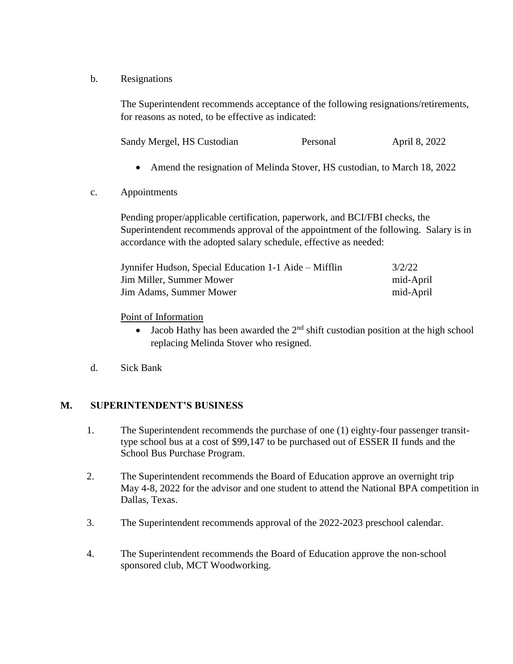b. Resignations

The Superintendent recommends acceptance of the following resignations/retirements, for reasons as noted, to be effective as indicated:

| Sandy Mergel, HS Custodian<br>Personal | April 8, 2022 |
|----------------------------------------|---------------|
|----------------------------------------|---------------|

- Amend the resignation of Melinda Stover, HS custodian, to March 18, 2022
- c. Appointments

Pending proper/applicable certification, paperwork, and BCI/FBI checks, the Superintendent recommends approval of the appointment of the following. Salary is in accordance with the adopted salary schedule, effective as needed:

| Jynnifer Hudson, Special Education 1-1 Aide – Mifflin | 3/2/22    |
|-------------------------------------------------------|-----------|
| Jim Miller, Summer Mower                              | mid-April |
| <b>Jim Adams, Summer Mower</b>                        | mid-April |

Point of Information

- $\bullet$  Jacob Hathy has been awarded the  $2<sup>nd</sup>$  shift custodian position at the high school replacing Melinda Stover who resigned.
- d. Sick Bank

## **M. SUPERINTENDENT'S BUSINESS**

- 1. The Superintendent recommends the purchase of one (1) eighty-four passenger transittype school bus at a cost of \$99,147 to be purchased out of ESSER II funds and the School Bus Purchase Program.
- 2. The Superintendent recommends the Board of Education approve an overnight trip May 4-8, 2022 for the advisor and one student to attend the National BPA competition in Dallas, Texas.
- 3. The Superintendent recommends approval of the 2022-2023 preschool calendar.
- 4. The Superintendent recommends the Board of Education approve the non-school sponsored club, MCT Woodworking.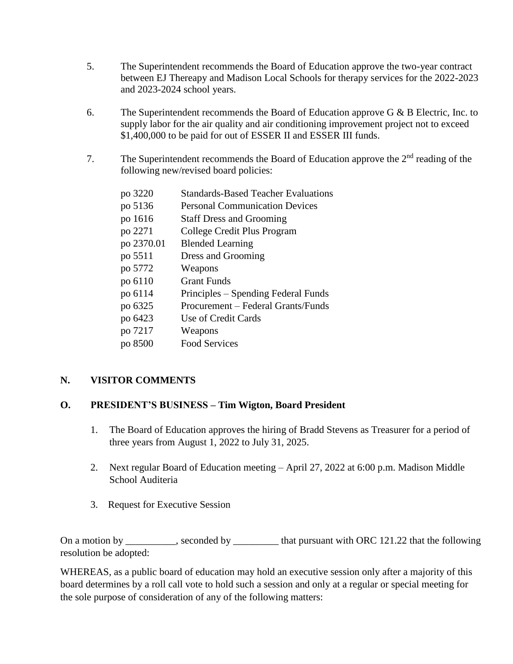- 5. The Superintendent recommends the Board of Education approve the two-year contract between EJ Thereapy and Madison Local Schools for therapy services for the 2022-2023 and 2023-2024 school years.
- 6. The Superintendent recommends the Board of Education approve G  $\&$  B Electric, Inc. to supply labor for the air quality and air conditioning improvement project not to exceed \$1,400,000 to be paid for out of ESSER II and ESSER III funds.
- 7. The Superintendent recommends the Board of Education approve the  $2<sup>nd</sup>$  reading of the following new/revised board policies:

| po 3220    | <b>Standards-Based Teacher Evaluations</b> |
|------------|--------------------------------------------|
| po 5136    | <b>Personal Communication Devices</b>      |
| po 1616    | <b>Staff Dress and Grooming</b>            |
| po 2271    | College Credit Plus Program                |
| po 2370.01 | <b>Blended Learning</b>                    |
| po 5511    | Dress and Grooming                         |
| po 5772    | Weapons                                    |
| po 6110    | Grant Funds                                |
| po 6114    | Principles – Spending Federal Funds        |
| po 6325    | Procurement – Federal Grants/Funds         |
| po 6423    | Use of Credit Cards                        |
| po 7217    | Weapons                                    |
| po 8500    | <b>Food Services</b>                       |

# **N. VISITOR COMMENTS**

# **O. PRESIDENT'S BUSINESS – Tim Wigton, Board President**

- 1. The Board of Education approves the hiring of Bradd Stevens as Treasurer for a period of three years from August 1, 2022 to July 31, 2025.
- 2. Next regular Board of Education meeting April 27, 2022 at 6:00 p.m. Madison Middle School Auditeria
- 3. Request for Executive Session

On a motion by \_\_\_\_\_\_\_\_, seconded by \_\_\_\_\_\_\_\_ that pursuant with ORC 121.22 that the following resolution be adopted:

WHEREAS, as a public board of education may hold an executive session only after a majority of this board determines by a roll call vote to hold such a session and only at a regular or special meeting for the sole purpose of consideration of any of the following matters: